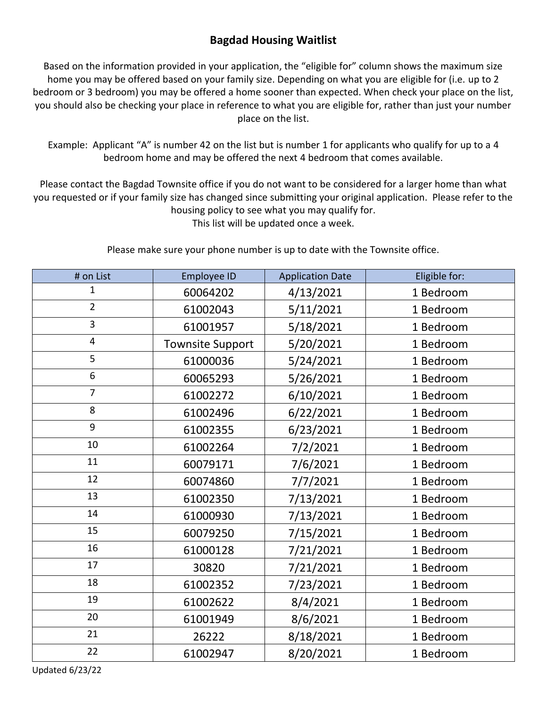## **Bagdad Housing Waitlist**

Based on the information provided in your application, the "eligible for" column shows the maximum size home you may be offered based on your family size. Depending on what you are eligible for (i.e. up to 2 bedroom or 3 bedroom) you may be offered a home sooner than expected. When check your place on the list, you should also be checking your place in reference to what you are eligible for, rather than just your number place on the list.

Example: Applicant "A" is number 42 on the list but is number 1 for applicants who qualify for up to a 4 bedroom home and may be offered the next 4 bedroom that comes available.

Please contact the Bagdad Townsite office if you do not want to be considered for a larger home than what you requested or if your family size has changed since submitting your original application. Please refer to the housing policy to see what you may qualify for. This list will be updated once a week.

Please make sure your phone number is up to date with the Townsite office.

| # on List               | <b>Employee ID</b>      | <b>Application Date</b> | Eligible for: |
|-------------------------|-------------------------|-------------------------|---------------|
| 1                       | 60064202                | 4/13/2021               | 1 Bedroom     |
| $\overline{2}$          | 61002043                | 5/11/2021               | 1 Bedroom     |
| $\overline{3}$          | 61001957                | 5/18/2021               | 1 Bedroom     |
| $\overline{\mathbf{4}}$ | <b>Townsite Support</b> | 5/20/2021               | 1 Bedroom     |
| 5                       | 61000036                | 5/24/2021               | 1 Bedroom     |
| 6                       | 60065293                | 5/26/2021               | 1 Bedroom     |
| $\overline{7}$          | 61002272                | 6/10/2021               | 1 Bedroom     |
| 8                       | 61002496                | 6/22/2021               | 1 Bedroom     |
| 9                       | 61002355                | 6/23/2021               | 1 Bedroom     |
| 10                      | 61002264                | 7/2/2021                | 1 Bedroom     |
| 11                      | 60079171                | 7/6/2021                | 1 Bedroom     |
| 12                      | 60074860                | 7/7/2021                | 1 Bedroom     |
| 13                      | 61002350                | 7/13/2021               | 1 Bedroom     |
| 14                      | 61000930                | 7/13/2021               | 1 Bedroom     |
| 15                      | 60079250                | 7/15/2021               | 1 Bedroom     |
| 16                      | 61000128                | 7/21/2021               | 1 Bedroom     |
| 17                      | 30820                   | 7/21/2021               | 1 Bedroom     |
| 18                      | 61002352                | 7/23/2021               | 1 Bedroom     |
| 19                      | 61002622                | 8/4/2021                | 1 Bedroom     |
| 20                      | 61001949                | 8/6/2021                | 1 Bedroom     |
| 21                      | 26222                   | 8/18/2021               | 1 Bedroom     |
| 22                      | 61002947                | 8/20/2021               | 1 Bedroom     |

Updated 6/23/22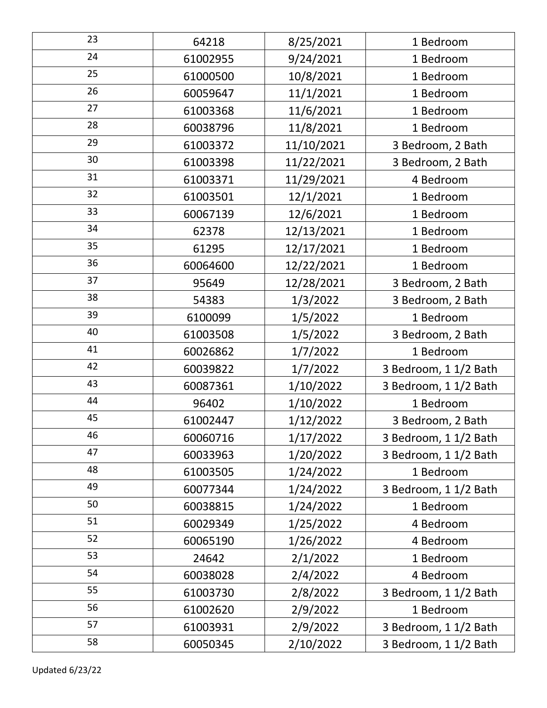| 23 | 64218    | 8/25/2021  | 1 Bedroom             |
|----|----------|------------|-----------------------|
| 24 | 61002955 | 9/24/2021  | 1 Bedroom             |
| 25 | 61000500 | 10/8/2021  | 1 Bedroom             |
| 26 | 60059647 | 11/1/2021  | 1 Bedroom             |
| 27 | 61003368 | 11/6/2021  | 1 Bedroom             |
| 28 | 60038796 | 11/8/2021  | 1 Bedroom             |
| 29 | 61003372 | 11/10/2021 | 3 Bedroom, 2 Bath     |
| 30 | 61003398 | 11/22/2021 | 3 Bedroom, 2 Bath     |
| 31 | 61003371 | 11/29/2021 | 4 Bedroom             |
| 32 | 61003501 | 12/1/2021  | 1 Bedroom             |
| 33 | 60067139 | 12/6/2021  | 1 Bedroom             |
| 34 | 62378    | 12/13/2021 | 1 Bedroom             |
| 35 | 61295    | 12/17/2021 | 1 Bedroom             |
| 36 | 60064600 | 12/22/2021 | 1 Bedroom             |
| 37 | 95649    | 12/28/2021 | 3 Bedroom, 2 Bath     |
| 38 | 54383    | 1/3/2022   | 3 Bedroom, 2 Bath     |
| 39 | 6100099  | 1/5/2022   | 1 Bedroom             |
| 40 | 61003508 | 1/5/2022   | 3 Bedroom, 2 Bath     |
| 41 | 60026862 | 1/7/2022   | 1 Bedroom             |
| 42 | 60039822 | 1/7/2022   | 3 Bedroom, 1 1/2 Bath |
| 43 | 60087361 | 1/10/2022  | 3 Bedroom, 1 1/2 Bath |
| 44 | 96402    | 1/10/2022  | 1 Bedroom             |
| 45 | 61002447 | 1/12/2022  | 3 Bedroom, 2 Bath     |
| 46 | 60060716 | 1/17/2022  | 3 Bedroom, 1 1/2 Bath |
| 47 | 60033963 | 1/20/2022  | 3 Bedroom, 1 1/2 Bath |
| 48 | 61003505 | 1/24/2022  | 1 Bedroom             |
| 49 | 60077344 | 1/24/2022  | 3 Bedroom, 1 1/2 Bath |
| 50 | 60038815 | 1/24/2022  | 1 Bedroom             |
| 51 | 60029349 | 1/25/2022  | 4 Bedroom             |
| 52 | 60065190 | 1/26/2022  | 4 Bedroom             |
| 53 | 24642    | 2/1/2022   | 1 Bedroom             |
| 54 | 60038028 | 2/4/2022   | 4 Bedroom             |
| 55 | 61003730 | 2/8/2022   | 3 Bedroom, 1 1/2 Bath |
| 56 | 61002620 | 2/9/2022   | 1 Bedroom             |
| 57 | 61003931 | 2/9/2022   | 3 Bedroom, 1 1/2 Bath |
| 58 | 60050345 | 2/10/2022  | 3 Bedroom, 1 1/2 Bath |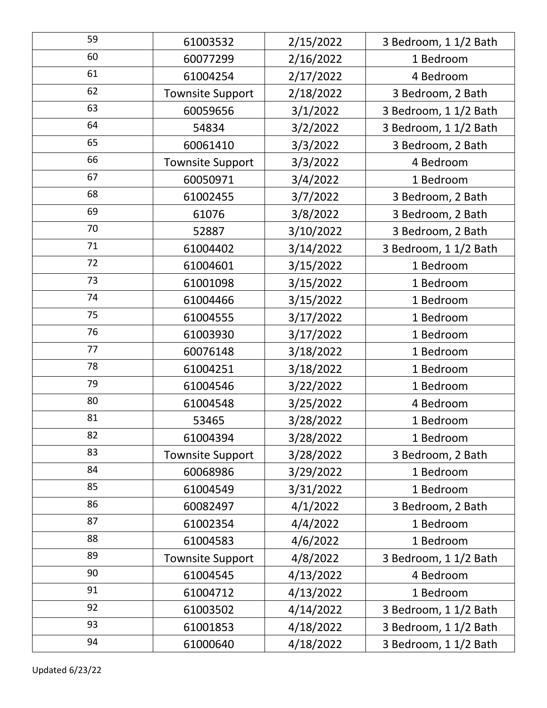| 59 | 61003532                | 2/15/2022 | 3 Bedroom, 1 1/2 Bath |
|----|-------------------------|-----------|-----------------------|
| 60 | 60077299                | 2/16/2022 | 1 Bedroom             |
| 61 | 61004254                | 2/17/2022 | 4 Bedroom             |
| 62 | <b>Townsite Support</b> | 2/18/2022 | 3 Bedroom, 2 Bath     |
| 63 | 60059656                | 3/1/2022  | 3 Bedroom, 1 1/2 Bath |
| 64 | 54834                   | 3/2/2022  | 3 Bedroom, 1 1/2 Bath |
| 65 | 60061410                | 3/3/2022  | 3 Bedroom, 2 Bath     |
| 66 | <b>Townsite Support</b> | 3/3/2022  | 4 Bedroom             |
| 67 | 60050971                | 3/4/2022  | 1 Bedroom             |
| 68 | 61002455                | 3/7/2022  | 3 Bedroom, 2 Bath     |
| 69 | 61076                   | 3/8/2022  | 3 Bedroom, 2 Bath     |
| 70 | 52887                   | 3/10/2022 | 3 Bedroom, 2 Bath     |
| 71 | 61004402                | 3/14/2022 | 3 Bedroom, 1 1/2 Bath |
| 72 | 61004601                | 3/15/2022 | 1 Bedroom             |
| 73 | 61001098                | 3/15/2022 | 1 Bedroom             |
| 74 | 61004466                | 3/15/2022 | 1 Bedroom             |
| 75 | 61004555                | 3/17/2022 | 1 Bedroom             |
| 76 | 61003930                | 3/17/2022 | 1 Bedroom             |
| 77 | 60076148                | 3/18/2022 | 1 Bedroom             |
| 78 | 61004251                | 3/18/2022 | 1 Bedroom             |
| 79 | 61004546                | 3/22/2022 | 1 Bedroom             |
| 80 | 61004548                | 3/25/2022 | 4 Bedroom             |
| 81 | 53465                   | 3/28/2022 | 1 Bedroom             |
| 82 | 61004394                | 3/28/2022 | 1 Bedroom             |
| 83 | <b>Townsite Support</b> | 3/28/2022 | 3 Bedroom, 2 Bath     |
| 84 | 60068986                | 3/29/2022 | 1 Bedroom             |
| 85 | 61004549                | 3/31/2022 | 1 Bedroom             |
| 86 | 60082497                | 4/1/2022  | 3 Bedroom, 2 Bath     |
| 87 | 61002354                | 4/4/2022  | 1 Bedroom             |
| 88 | 61004583                | 4/6/2022  | 1 Bedroom             |
| 89 | <b>Townsite Support</b> | 4/8/2022  | 3 Bedroom, 1 1/2 Bath |
| 90 | 61004545                | 4/13/2022 | 4 Bedroom             |
| 91 | 61004712                | 4/13/2022 | 1 Bedroom             |
| 92 | 61003502                | 4/14/2022 | 3 Bedroom, 1 1/2 Bath |
| 93 | 61001853                | 4/18/2022 | 3 Bedroom, 1 1/2 Bath |
| 94 | 61000640                | 4/18/2022 | 3 Bedroom, 1 1/2 Bath |